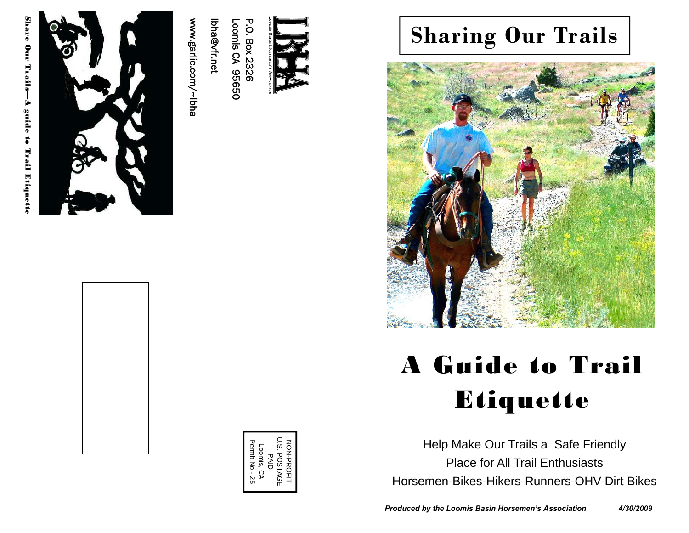

www.garlic.com/~lbha

Ibha@vfr.net lbha@vfr.net Loomis CA 95650

Loomis CA 95650

## **Sharing Our Trails**



# A Guide to Trail Etiquette

Help Make Our Trails a Safe Friendly Place for All Trail Enthusiasts Horsemen-Bikes-Hikers-Runners-OHV-Dirt Bikes

U.S. POSTAGE PAID<br>Loomis, CA<br>Permit No - 25 Permit No - 25 NON-PROFIT  $\overline{\omega}$ Loomis, CA ION-PROFI **POSTAGE**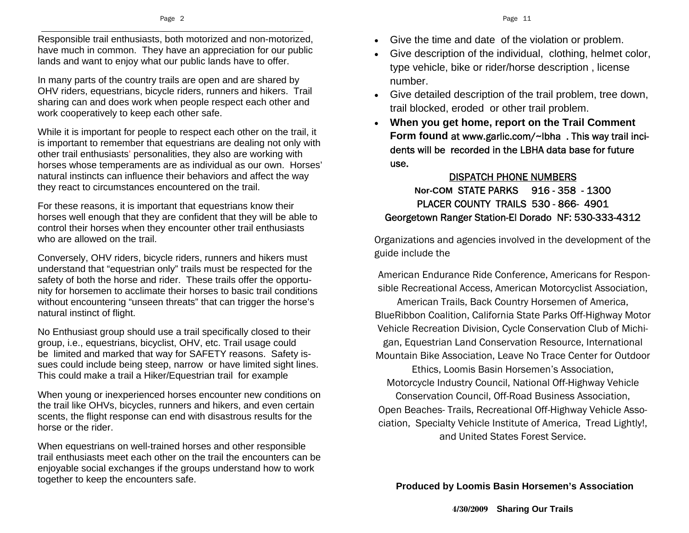Responsible trail enthusiasts, both motorized and non-motorized, have much in common. They have an appreciation for our public lands and want to enjoy what our public lands have to offer.

In many parts of the country trails are open and are shared by OHV riders, equestrians, bicycle riders, runners and hikers. Trail sharing can and does work when people respect each other and work cooperatively to keep each other safe.

While it is important for people to respect each other on the trail, it is important to remember that equestrians are dealing not only with other trail enthusiasts' personalities, they also are working with horses whose temperaments are as individual as our own. Horses' natural instincts can influence their behaviors and affect the way they react to circumstances encountered on the trail.

For these reasons, it is important that equestrians know their horses well enough that they are confident that they will be able to control their horses when they encounter other trail enthusiasts who are allowed on the trail.

Conversely, OHV riders, bicycle riders, runners and hikers must understand that "equestrian only" trails must be respected for the safety of both the horse and rider. These trails offer the opportunity for horsemen to acclimate their horses to basic trail conditions without encountering "unseen threats" that can trigger the horse's natural instinct of flight.

No Enthusiast group should use a trail specifically closed to their group, i.e., equestrians, bicyclist, OHV, etc. Trail usage could be limited and marked that way for SAFETY reasons. Safety issues could include being steep, narrow or have limited sight lines. This could make a trail a Hiker/Equestrian trail for example

When young or inexperienced horses encounter new conditions on the trail like OHVs, bicycles, runners and hikers, and even certain scents, the flight response can end with disastrous results for the horse or the rider.

When equestrians on well-trained horses and other responsible trail enthusiasts meet each other on the trail the encounters can be enjoyable social exchanges if the groups understand how to work together to keep the encounters safe.

- Give the time and date of the violation or problem.
- Give description of the individual, clothing, helmet color, type vehicle, bike or rider/horse description , license number.
- Give detailed description of the trail problem, tree down, trail blocked, eroded or other trail problem.
- $\bullet$  **When you get home, report on the Trail Comment Form found** at www.garlic.com/~lbha . This way trail incidents will be recorded in the LBHA data base for future use.

#### DISPATCH PHONE NUMBERS **Nor-COM** STATE PARKS 916 - 358 - 1300 PLACER COUNTY TRAILS 530 - 866- 4901 Georgetown Ranger Station-El Dorado NF: 530-333-4312

Organizations and agencies involved in the development of the guide include the

 American Endurance Ride Conference, Americans for Responsible Recreational Access, American Motorcyclist Association,

American Trails, Back Country Horsemen of America, BlueRibbon Coalition, California State Parks Off-Highway Motor Vehicle Recreation Division, Cycle Conservation Club of Michigan, Equestrian Land Conservation Resource, International Mountain Bike Association, Leave No Trace Center for Outdoor

Ethics, Loomis Basin Horsemen's Association, Motorcycle Industry Council, National Off-Highway Vehicle Conservation Council, Off-Road Business Association,

Open Beaches- Trails, Recreational Off-Highway Vehicle Association, Specialty Vehicle Institute of America, Tread Lightly!, and United States Forest Service.

**Produced by Loomis Basin Horsemen's Association**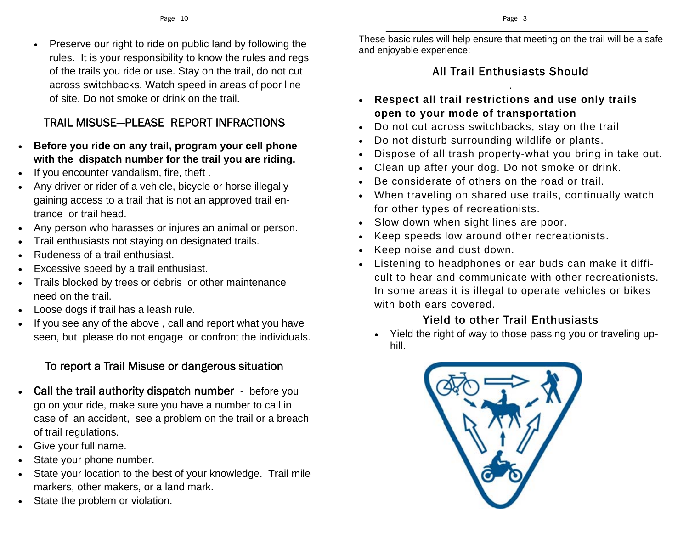$\bullet$  Preserve our right to ride on public land by following the rules. It is your responsibility to know the rules and regs of the trails you ride or use. Stay on the trail, do not cut across switchbacks. Watch speed in areas of poor line of site. Do not smoke or drink on the trail.

#### TRAIL MISUSE—PLEASE REPORT INFRACTIONS

- $\bullet$  **Before you ride on any trail, program your cell phone with the dispatch number for the trail you are riding.**
- $\bullet$ If you encounter vandalism, fire, theft .
- $\bullet$  Any driver or rider of a vehicle, bicycle or horse illegally gaining access to a trail that is not an approved trail entrance or trail head.
- . Any person who harasses or injures an animal or person.
- $\bullet$ Trail enthusiasts not staying on designated trails.
- $\bullet$ Rudeness of a trail enthusiast.
- $\bullet$ Excessive speed by a trail enthusiast.
- $\bullet$  Trails blocked by trees or debris or other maintenance need on the trail.
- $\bullet$ Loose dogs if trail has a leash rule.
- $\bullet$  If you see any of the above , call and report what you have seen, but please do not engage or confront the individuals.

#### To report a Trail Misuse or dangerous situation

- $\bullet$  Call the trail authority dispatch number - before you go on your ride, make sure you have a number to call in case of an accident, see a problem on the trail or a breach of trail regulations.
- $\bullet$ Give your full name.
- $\bullet$ State your phone number.
- $\bullet$  State your location to the best of your knowledge. Trail mile markers, other makers, or a land mark.
- $\bullet$ State the problem or violation.

These basic rules will help ensure that meeting on the trail will be a safe and enjoyable experience:

#### All Trail Enthusiasts Should

.

- **Respect all trail restrictions and use only trails open to your mode of transportation**
- $\bullet$ Do not cut across switchbacks, stay on the trail
- $\bullet$ Do not disturb surrounding wildlife or plants.
- $\bullet$ Dispose of all trash property-what you bring in take out.
- Clean up after your dog. Do not smoke or drink.
- $\bullet$ Be considerate of others on the road or trail.
- $\bullet$  When traveling on shared use trails, continually watch for other types of recreationists.
- Slow down when sight lines are poor.
- $\bullet$ Keep speeds low around other recreationists.
- $\bullet$ Keep noise and dust down.
- Listening to headphones or ear buds can make it difficult to hear and communicate with other recreationists. In some areas it is illegal to operate vehicles or bikes with both ears covered.

#### Yield to other Trail Enthusiasts

 Yield the right of way to those passing you or traveling uphill.

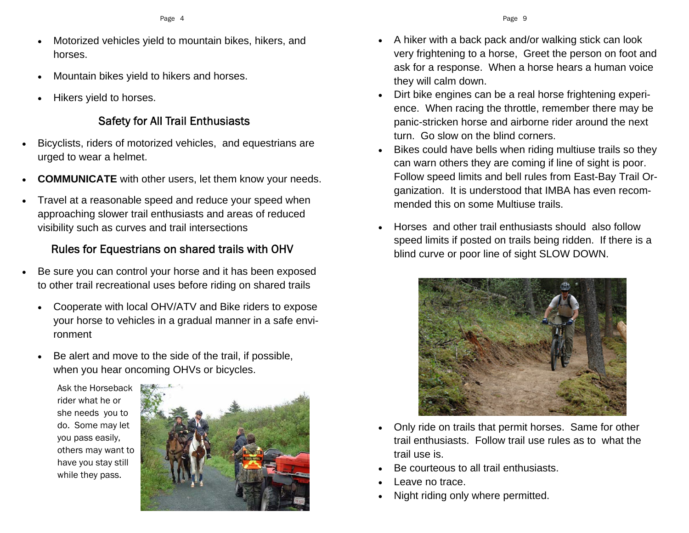- $\bullet$  Motorized vehicles yield to mountain bikes, hikers, and horses.
- $\bullet$ Mountain bikes yield to hikers and horses.
- $\bullet$ Hikers yield to horses.

#### Safety for All Trail Enthusiasts

- $\bullet$  Bicyclists, riders of motorized vehicles, and equestrians are urged to wear a helmet.
- $\bullet$ **COMMUNICATE** with other users, let them know your needs.
- . Travel at a reasonable speed and reduce your speed when approaching slower trail enthusiasts and areas of reduced visibility such as curves and trail intersections

#### Rules for Equestrians on shared trails with OHV

- $\bullet$  Be sure you can control your horse and it has been exposed to other trail recreational uses before riding on shared trails
	- $\bullet$  Cooperate with local OHV/ATV and Bike riders to expose your horse to vehicles in a gradual manner in a safe environment
	- $\bullet$  Be alert and move to the side of the trail, if possible, when you hear oncoming OHVs or bicycles.

Ask the Horseback rider what he or she needs you to do. Some may let you pass easily, others may want to have you stay still while they pass.



- $\bullet$  A hiker with a back pack and/or walking stick can look very frightening to a horse, Greet the person on foot and ask for a response. When a horse hears a human voice they will calm down.
- $\bullet$  Dirt bike engines can be a real horse frightening experience. When racing the throttle, remember there may be panic-stricken horse and airborne rider around the next turn. Go slow on the blind corners.
- $\bullet$  Bikes could have bells when riding multiuse trails so they can warn others they are coming if line of sight is poor. Follow speed limits and bell rules from East-Bay Trail Organization. It is understood that IMBA has even recommended this on some Multiuse trails.
- $\bullet$  Horses and other trail enthusiasts should also follow speed limits if posted on trails being ridden. If there is a blind curve or poor line of sight SLOW DOWN.



- $\bullet$  Only ride on trails that permit horses. Same for other trail enthusiasts. Follow trail use rules as to what the trail use is.
- $\bullet$ Be courteous to all trail enthusiasts.
- $\bullet$ Leave no trace.
- $\bullet$ Night riding only where permitted.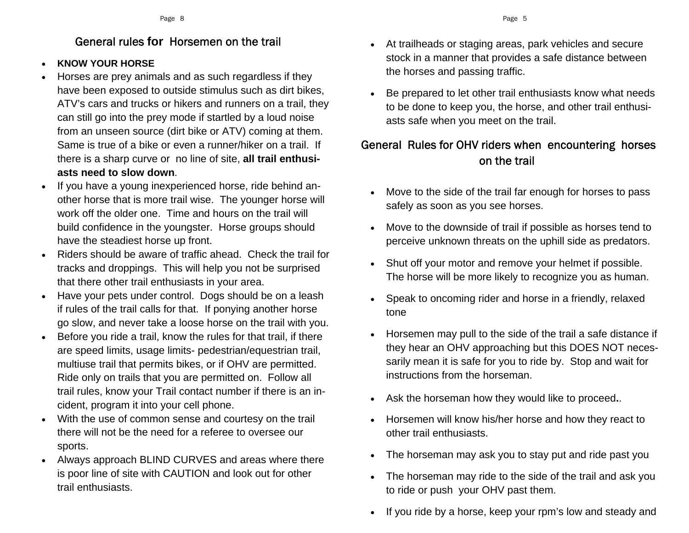#### General rules **for** Horsemen on the trail

#### $\bullet$ **KNOW YOUR HORSE**

- $\bullet$  Horses are prey animals and as such regardless if they have been exposed to outside stimulus such as dirt bikes, ATV's cars and trucks or hikers and runners on a trail, they can still go into the prey mode if startled by a loud noise from an unseen source (dirt bike or ATV) coming at them. Same is true of a bike or even a runner/hiker on a trail. If there is a sharp curve or no line of site, **all trail enthusiasts need to slow down**.
- $\bullet$  If you have a young inexperienced horse, ride behind another horse that is more trail wise. The younger horse will work off the older one. Time and hours on the trail will build confidence in the youngster. Horse groups should have the steadiest horse up front.
- $\bullet$  Riders should be aware of traffic ahead. Check the trail for tracks and droppings. This will help you not be surprised that there other trail enthusiasts in your area.
- $\bullet$  Have your pets under control. Dogs should be on a leash if rules of the trail calls for that. If ponying another horse go slow, and never take a loose horse on the trail with you.
- $\bullet$  Before you ride a trail, know the rules for that trail, if there are speed limits, usage limits- pedestrian/equestrian trail, multiuse trail that permits bikes, or if OHV are permitted. Ride only on trails that you are permitted on. Follow all trail rules, know your Trail contact number if there is an incident, program it into your cell phone.
- $\bullet$  With the use of common sense and courtesy on the trail there will not be the need for a referee to oversee our sports.
- Always approach BLIND CURVES and areas where there is poor line of site with CAUTION and look out for other trail enthusiasts.
- At trailheads or staging areas, park vehicles and secure stock in a manner that provides a safe distance between the horses and passing traffic.
- $\bullet$  Be prepared to let other trail enthusiasts know what needs to be done to keep you, the horse, and other trail enthusiasts safe when you meet on the trail.

#### General Rules for OHV riders when encountering horses on the trail

- $\bullet$  Move to the side of the trail far enough for horses to pass safely as soon as you see horses.
- $\bullet$  Move to the downside of trail if possible as horses tend to perceive unknown threats on the uphill side as predators.
- $\bullet$  Shut off your motor and remove your helmet if possible. The horse will be more likely to recognize you as human.
- $\bullet$  Speak to oncoming rider and horse in a friendly, relaxed tone
- $\bullet$  Horsemen may pull to the side of the trail a safe distance if they hear an OHV approaching but this DOES NOT necessarily mean it is safe for you to ride by. Stop and wait for instructions from the horseman.
- $\bullet$ Ask the horseman how they would like to proceed**.**.
- Horsemen will know his/her horse and how they react to other trail enthusiasts.
- $\bullet$ The horseman may ask you to stay put and ride past you
- $\bullet$  The horseman may ride to the side of the trail and ask you to ride or push your OHV past them.
- $\bullet$ If you ride by a horse, keep your rpm's low and steady and